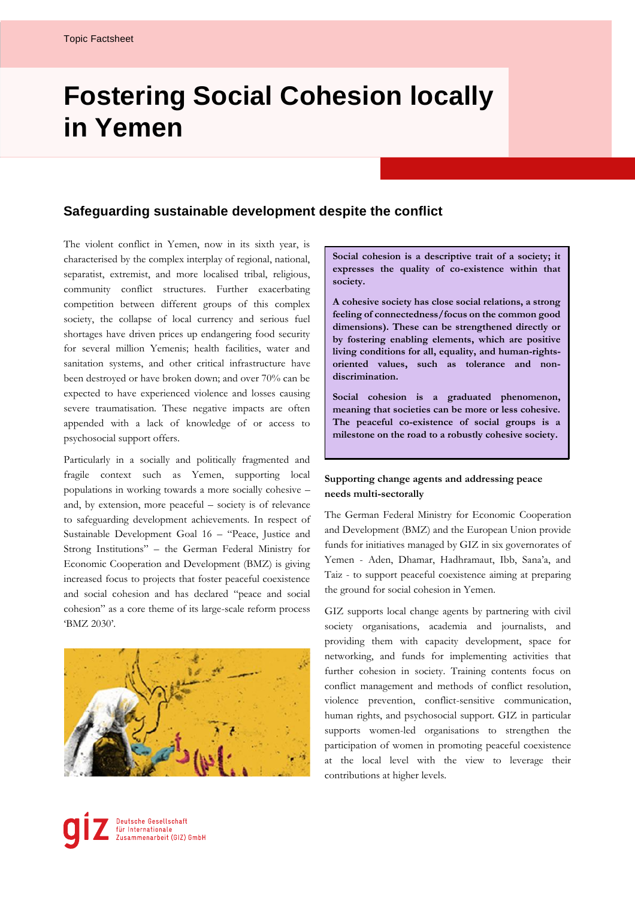## **Fostering Social Cohesion locally in Yemen**

## **Safeguarding sustainable development despite the conflict**

The violent conflict in Yemen, now in its sixth year, is characterised by the complex interplay of regional, national, separatist, extremist, and more localised tribal, religious, community conflict structures. Further exacerbating competition between different groups of this complex society, the collapse of local currency and serious fuel shortages have driven prices up endangering food security for several million Yemenis; health facilities, water and sanitation systems, and other critical infrastructure have been destroyed or have broken down; and over 70% can be expected to have experienced violence and losses causing severe traumatisation. These negative impacts are often appended with a lack of knowledge of or access to psychosocial support offers.

Particularly in a socially and politically fragmented and fragile context such as Yemen, supporting local populations in working towards a more socially cohesive – and, by extension, more peaceful – society is of relevance to safeguarding development achievements. In respect of Sustainable Development Goal 16 – "Peace, Justice and Strong Institutions" – the German Federal Ministry for Economic Cooperation and Development (BMZ) is giving increased focus to projects that foster peaceful coexistence and social cohesion and has declared "peace and social cohesion" as a core theme of its large-scale reform process 'BMZ 2030'.



**Social cohesion is a descriptive trait of a society; it expresses the quality of co-existence within that society.** 

**A cohesive society has close social relations, a strong feeling of connectedness/focus on the common good dimensions). These can be strengthened directly or by fostering enabling elements, which are positive living conditions for all, equality, and human-rightsoriented values, such as tolerance and nondiscrimination.**

**Social cohesion is a graduated phenomenon, meaning that societies can be more or less cohesive. The peaceful co-existence of social groups is a milestone on the road to a robustly cohesive society.**

## **Supporting change agents and addressing peace needs multi-sectorally**

The German Federal Ministry for Economic Cooperation and Development (BMZ) and the European Union provide funds for initiatives managed by GIZ in six governorates of Yemen - Aden, Dhamar, Hadhramaut, Ibb, Sana'a, and Taiz - to support peaceful coexistence aiming at preparing the ground for social cohesion in Yemen.

GIZ supports local change agents by partnering with civil society organisations, academia and journalists, and providing them with capacity development, space for networking, and funds for implementing activities that further cohesion in society. Training contents focus on conflict management and methods of conflict resolution, violence prevention, conflict-sensitive communication, human rights, and psychosocial support. GIZ in particular supports women-led organisations to strengthen the participation of women in promoting peaceful coexistence at the local level with the view to leverage their contributions at higher levels.